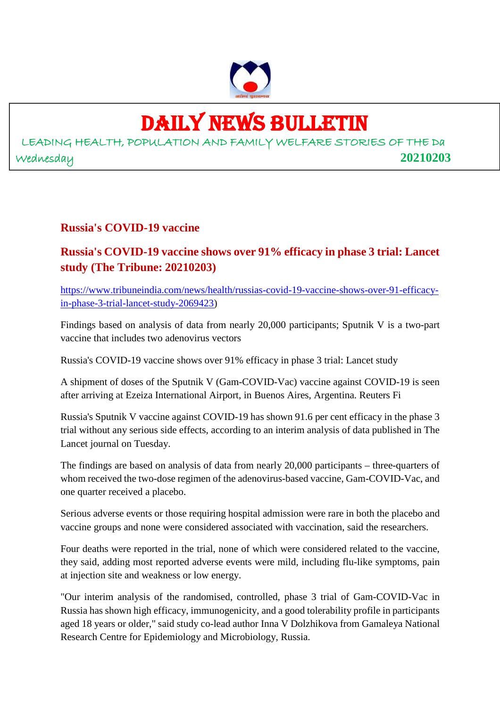

## DAILY NEWS BULLETIN

LEADING HEALTH, POPULATION AND FAMILY WELFARE STORIES OF THE Da Wednesday **20210203**

#### **Russia's COVID-19 vaccine**

#### **Russia's COVID-19 vaccine shows over 91% efficacy in phase 3 trial: Lancet study (The Tribune: 20210203)**

https://www.tribuneindia.com/news/health/russias-covid-19-vaccine-shows-over-91-efficacyin-phase-3-trial-lancet-study-2069423)

Findings based on analysis of data from nearly 20,000 participants; Sputnik V is a two-part vaccine that includes two adenovirus vectors

Russia's COVID-19 vaccine shows over 91% efficacy in phase 3 trial: Lancet study

A shipment of doses of the Sputnik V (Gam-COVID-Vac) vaccine against COVID-19 is seen after arriving at Ezeiza International Airport, in Buenos Aires, Argentina. Reuters Fi

Russia's Sputnik V vaccine against COVID-19 has shown 91.6 per cent efficacy in the phase 3 trial without any serious side effects, according to an interim analysis of data published in The Lancet journal on Tuesday.

The findings are based on analysis of data from nearly 20,000 participants – three-quarters of whom received the two-dose regimen of the adenovirus-based vaccine, Gam-COVID-Vac, and one quarter received a placebo.

Serious adverse events or those requiring hospital admission were rare in both the placebo and vaccine groups and none were considered associated with vaccination, said the researchers.

Four deaths were reported in the trial, none of which were considered related to the vaccine, they said, adding most reported adverse events were mild, including flu-like symptoms, pain at injection site and weakness or low energy.

"Our interim analysis of the randomised, controlled, phase 3 trial of Gam-COVID-Vac in Russia has shown high efficacy, immunogenicity, and a good tolerability profile in participants aged 18 years or older," said study co-lead author Inna V Dolzhikova from Gamaleya National Research Centre for Epidemiology and Microbiology, Russia.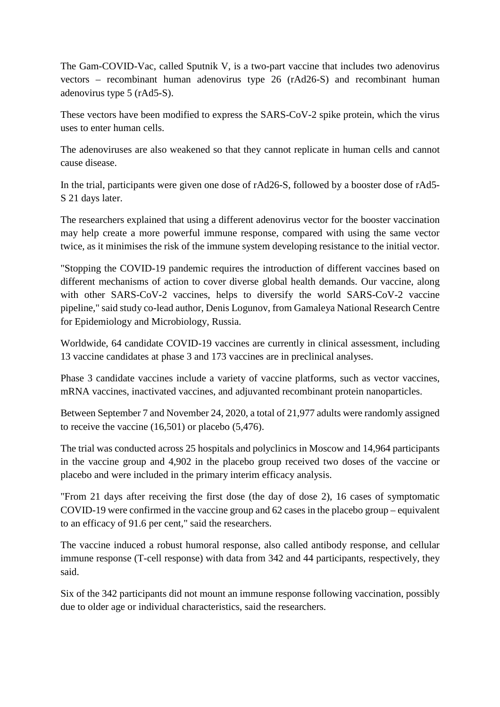The Gam-COVID-Vac, called Sputnik V, is a two-part vaccine that includes two adenovirus vectors – recombinant human adenovirus type 26 (rAd26-S) and recombinant human adenovirus type 5 (rAd5-S).

These vectors have been modified to express the SARS-CoV-2 spike protein, which the virus uses to enter human cells.

The adenoviruses are also weakened so that they cannot replicate in human cells and cannot cause disease.

In the trial, participants were given one dose of rAd26-S, followed by a booster dose of rAd5- S 21 days later.

The researchers explained that using a different adenovirus vector for the booster vaccination may help create a more powerful immune response, compared with using the same vector twice, as it minimises the risk of the immune system developing resistance to the initial vector.

"Stopping the COVID-19 pandemic requires the introduction of different vaccines based on different mechanisms of action to cover diverse global health demands. Our vaccine, along with other SARS-CoV-2 vaccines, helps to diversify the world SARS-CoV-2 vaccine pipeline," said study co-lead author, Denis Logunov, from Gamaleya National Research Centre for Epidemiology and Microbiology, Russia.

Worldwide, 64 candidate COVID-19 vaccines are currently in clinical assessment, including 13 vaccine candidates at phase 3 and 173 vaccines are in preclinical analyses.

Phase 3 candidate vaccines include a variety of vaccine platforms, such as vector vaccines, mRNA vaccines, inactivated vaccines, and adjuvanted recombinant protein nanoparticles.

Between September 7 and November 24, 2020, a total of 21,977 adults were randomly assigned to receive the vaccine (16,501) or placebo (5,476).

The trial was conducted across 25 hospitals and polyclinics in Moscow and 14,964 participants in the vaccine group and 4,902 in the placebo group received two doses of the vaccine or placebo and were included in the primary interim efficacy analysis.

"From 21 days after receiving the first dose (the day of dose 2), 16 cases of symptomatic COVID-19 were confirmed in the vaccine group and 62 cases in the placebo group – equivalent to an efficacy of 91.6 per cent," said the researchers.

The vaccine induced a robust humoral response, also called antibody response, and cellular immune response (T-cell response) with data from 342 and 44 participants, respectively, they said.

Six of the 342 participants did not mount an immune response following vaccination, possibly due to older age or individual characteristics, said the researchers.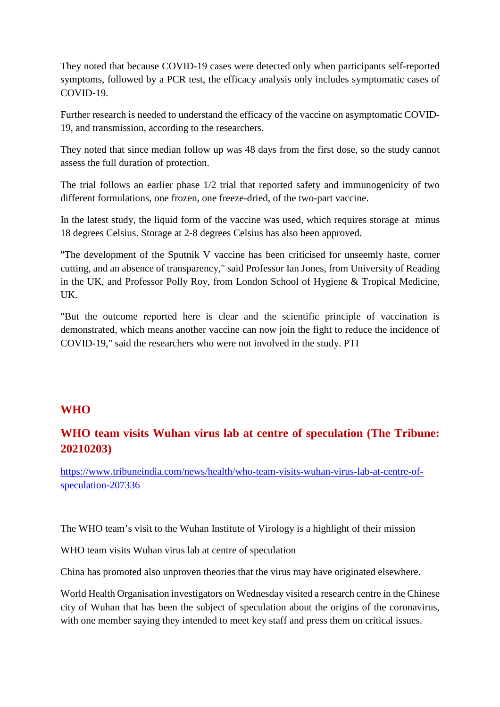They noted that because COVID-19 cases were detected only when participants self-reported symptoms, followed by a PCR test, the efficacy analysis only includes symptomatic cases of COVID-19.

Further research is needed to understand the efficacy of the vaccine on asymptomatic COVID-19, and transmission, according to the researchers.

They noted that since median follow up was 48 days from the first dose, so the study cannot assess the full duration of protection.

The trial follows an earlier phase 1/2 trial that reported safety and immunogenicity of two different formulations, one frozen, one freeze-dried, of the two-part vaccine.

In the latest study, the liquid form of the vaccine was used, which requires storage at minus 18 degrees Celsius. Storage at 2-8 degrees Celsius has also been approved.

"The development of the Sputnik V vaccine has been criticised for unseemly haste, corner cutting, and an absence of transparency," said Professor Ian Jones, from University of Reading in the UK, and Professor Polly Roy, from London School of Hygiene & Tropical Medicine, UK.

"But the outcome reported here is clear and the scientific principle of vaccination is demonstrated, which means another vaccine can now join the fight to reduce the incidence of COVID-19," said the researchers who were not involved in the study. PTI

#### **WHO**

#### **WHO team visits Wuhan virus lab at centre of speculation (The Tribune: 20210203)**

https://www.tribuneindia.com/news/health/who-team-visits-wuhan-virus-lab-at-centre-ofspeculation-207336

The WHO team's visit to the Wuhan Institute of Virology is a highlight of their mission

WHO team visits Wuhan virus lab at centre of speculation

China has promoted also unproven theories that the virus may have originated elsewhere.

World Health Organisation investigators on Wednesday visited a research centre in the Chinese city of Wuhan that has been the subject of speculation about the origins of the coronavirus, with one member saying they intended to meet key staff and press them on critical issues.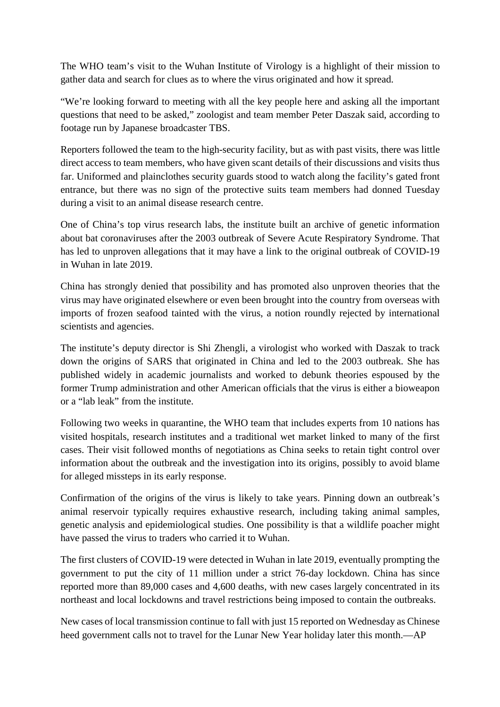The WHO team's visit to the Wuhan Institute of Virology is a highlight of their mission to gather data and search for clues as to where the virus originated and how it spread.

"We're looking forward to meeting with all the key people here and asking all the important questions that need to be asked," zoologist and team member Peter Daszak said, according to footage run by Japanese broadcaster TBS.

Reporters followed the team to the high-security facility, but as with past visits, there was little direct access to team members, who have given scant details of their discussions and visits thus far. Uniformed and plainclothes security guards stood to watch along the facility's gated front entrance, but there was no sign of the protective suits team members had donned Tuesday during a visit to an animal disease research centre.

One of China's top virus research labs, the institute built an archive of genetic information about bat coronaviruses after the 2003 outbreak of Severe Acute Respiratory Syndrome. That has led to unproven allegations that it may have a link to the original outbreak of COVID-19 in Wuhan in late 2019.

China has strongly denied that possibility and has promoted also unproven theories that the virus may have originated elsewhere or even been brought into the country from overseas with imports of frozen seafood tainted with the virus, a notion roundly rejected by international scientists and agencies.

The institute's deputy director is Shi Zhengli, a virologist who worked with Daszak to track down the origins of SARS that originated in China and led to the 2003 outbreak. She has published widely in academic journalists and worked to debunk theories espoused by the former Trump administration and other American officials that the virus is either a bioweapon or a "lab leak" from the institute.

Following two weeks in quarantine, the WHO team that includes experts from 10 nations has visited hospitals, research institutes and a traditional wet market linked to many of the first cases. Their visit followed months of negotiations as China seeks to retain tight control over information about the outbreak and the investigation into its origins, possibly to avoid blame for alleged missteps in its early response.

Confirmation of the origins of the virus is likely to take years. Pinning down an outbreak's animal reservoir typically requires exhaustive research, including taking animal samples, genetic analysis and epidemiological studies. One possibility is that a wildlife poacher might have passed the virus to traders who carried it to Wuhan.

The first clusters of COVID-19 were detected in Wuhan in late 2019, eventually prompting the government to put the city of 11 million under a strict 76-day lockdown. China has since reported more than 89,000 cases and 4,600 deaths, with new cases largely concentrated in its northeast and local lockdowns and travel restrictions being imposed to contain the outbreaks.

New cases of local transmission continue to fall with just 15 reported on Wednesday as Chinese heed government calls not to travel for the Lunar New Year holiday later this month.—AP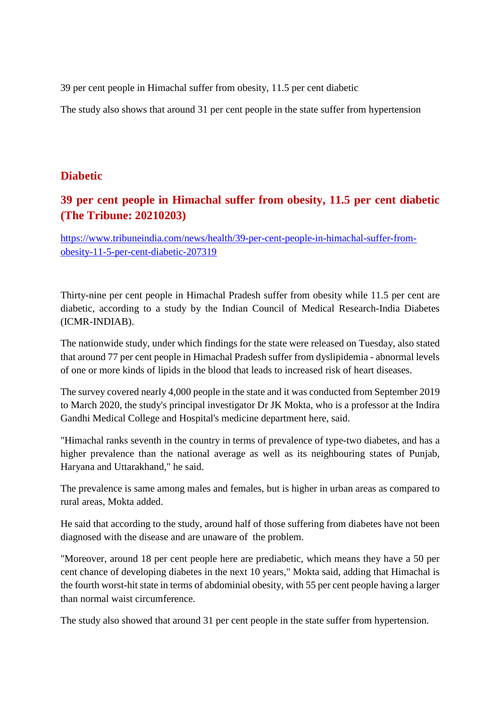39 per cent people in Himachal suffer from obesity, 11.5 per cent diabetic

The study also shows that around 31 per cent people in the state suffer from hypertension

#### **Diabetic**

#### **39 per cent people in Himachal suffer from obesity, 11.5 per cent diabetic (The Tribune: 20210203)**

https://www.tribuneindia.com/news/health/39-per-cent-people-in-himachal-suffer-fromobesity-11-5-per-cent-diabetic-207319

Thirty-nine per cent people in Himachal Pradesh suffer from obesity while 11.5 per cent are diabetic, according to a study by the Indian Council of Medical Research-India Diabetes (ICMR-INDIAB).

The nationwide study, under which findings for the state were released on Tuesday, also stated that around 77 per cent people in Himachal Pradesh suffer from dyslipidemia - abnormal levels of one or more kinds of lipids in the blood that leads to increased risk of heart diseases.

The survey covered nearly 4,000 people in the state and it was conducted from September 2019 to March 2020, the study's principal investigator Dr JK Mokta, who is a professor at the Indira Gandhi Medical College and Hospital's medicine department here, said.

"Himachal ranks seventh in the country in terms of prevalence of type-two diabetes, and has a higher prevalence than the national average as well as its neighbouring states of Punjab, Haryana and Uttarakhand," he said.

The prevalence is same among males and females, but is higher in urban areas as compared to rural areas, Mokta added.

He said that according to the study, around half of those suffering from diabetes have not been diagnosed with the disease and are unaware of the problem.

"Moreover, around 18 per cent people here are prediabetic, which means they have a 50 per cent chance of developing diabetes in the next 10 years," Mokta said, adding that Himachal is the fourth worst-hit state in terms of abdominial obesity, with 55 per cent people having a larger than normal waist circumference.

The study also showed that around 31 per cent people in the state suffer from hypertension.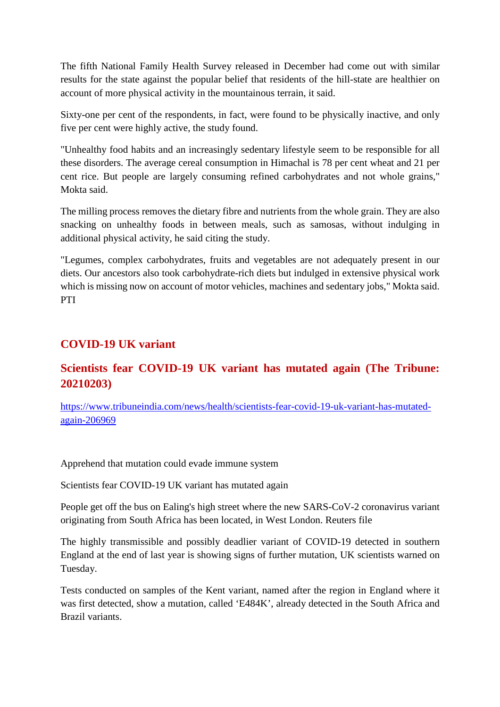The fifth National Family Health Survey released in December had come out with similar results for the state against the popular belief that residents of the hill-state are healthier on account of more physical activity in the mountainous terrain, it said.

Sixty-one per cent of the respondents, in fact, were found to be physically inactive, and only five per cent were highly active, the study found.

"Unhealthy food habits and an increasingly sedentary lifestyle seem to be responsible for all these disorders. The average cereal consumption in Himachal is 78 per cent wheat and 21 per cent rice. But people are largely consuming refined carbohydrates and not whole grains," Mokta said.

The milling process removes the dietary fibre and nutrients from the whole grain. They are also snacking on unhealthy foods in between meals, such as samosas, without indulging in additional physical activity, he said citing the study.

"Legumes, complex carbohydrates, fruits and vegetables are not adequately present in our diets. Our ancestors also took carbohydrate-rich diets but indulged in extensive physical work which is missing now on account of motor vehicles, machines and sedentary jobs," Mokta said. PTI

#### **COVID-19 UK variant**

#### **Scientists fear COVID-19 UK variant has mutated again (The Tribune: 20210203)**

https://www.tribuneindia.com/news/health/scientists-fear-covid-19-uk-variant-has-mutatedagain-206969

#### Apprehend that mutation could evade immune system

Scientists fear COVID-19 UK variant has mutated again

People get off the bus on Ealing's high street where the new SARS-CoV-2 coronavirus variant originating from South Africa has been located, in West London. Reuters file

The highly transmissible and possibly deadlier variant of COVID-19 detected in southern England at the end of last year is showing signs of further mutation, UK scientists warned on Tuesday.

Tests conducted on samples of the Kent variant, named after the region in England where it was first detected, show a mutation, called 'E484K', already detected in the South Africa and Brazil variants.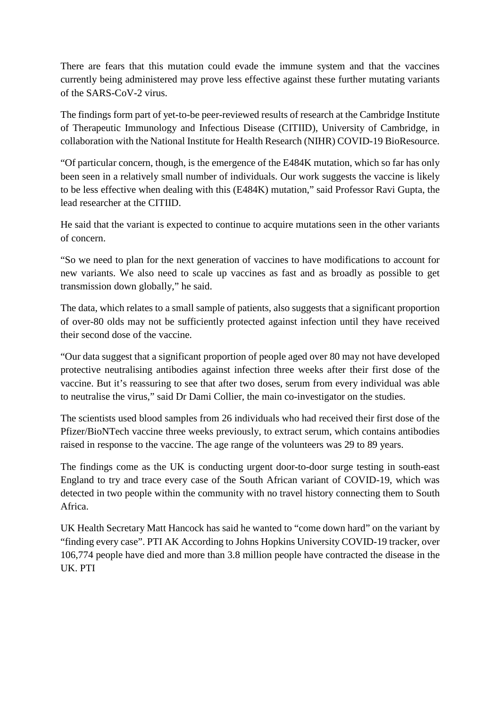There are fears that this mutation could evade the immune system and that the vaccines currently being administered may prove less effective against these further mutating variants of the SARS-CoV-2 virus.

The findings form part of yet-to-be peer-reviewed results of research at the Cambridge Institute of Therapeutic Immunology and Infectious Disease (CITIID), University of Cambridge, in collaboration with the National Institute for Health Research (NIHR) COVID-19 BioResource.

"Of particular concern, though, is the emergence of the E484K mutation, which so far has only been seen in a relatively small number of individuals. Our work suggests the vaccine is likely to be less effective when dealing with this (E484K) mutation," said Professor Ravi Gupta, the lead researcher at the CITIID.

He said that the variant is expected to continue to acquire mutations seen in the other variants of concern.

"So we need to plan for the next generation of vaccines to have modifications to account for new variants. We also need to scale up vaccines as fast and as broadly as possible to get transmission down globally," he said.

The data, which relates to a small sample of patients, also suggests that a significant proportion of over-80 olds may not be sufficiently protected against infection until they have received their second dose of the vaccine.

"Our data suggest that a significant proportion of people aged over 80 may not have developed protective neutralising antibodies against infection three weeks after their first dose of the vaccine. But it's reassuring to see that after two doses, serum from every individual was able to neutralise the virus," said Dr Dami Collier, the main co-investigator on the studies.

The scientists used blood samples from 26 individuals who had received their first dose of the Pfizer/BioNTech vaccine three weeks previously, to extract serum, which contains antibodies raised in response to the vaccine. The age range of the volunteers was 29 to 89 years.

The findings come as the UK is conducting urgent door-to-door surge testing in south-east England to try and trace every case of the South African variant of COVID-19, which was detected in two people within the community with no travel history connecting them to South Africa.

UK Health Secretary Matt Hancock has said he wanted to "come down hard" on the variant by "finding every case". PTI AK According to Johns Hopkins University COVID-19 tracker, over 106,774 people have died and more than 3.8 million people have contracted the disease in the UK. PTI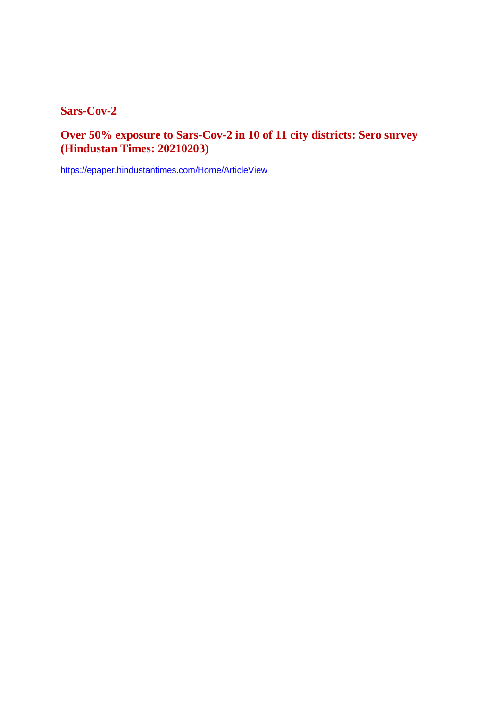**Sars-Cov-2**

**Over 50% exposure to Sars-Cov-2 in 10 of 11 city districts: Sero survey (Hindustan Times: 20210203)**

https://epaper.hindustantimes.com/Home/ArticleView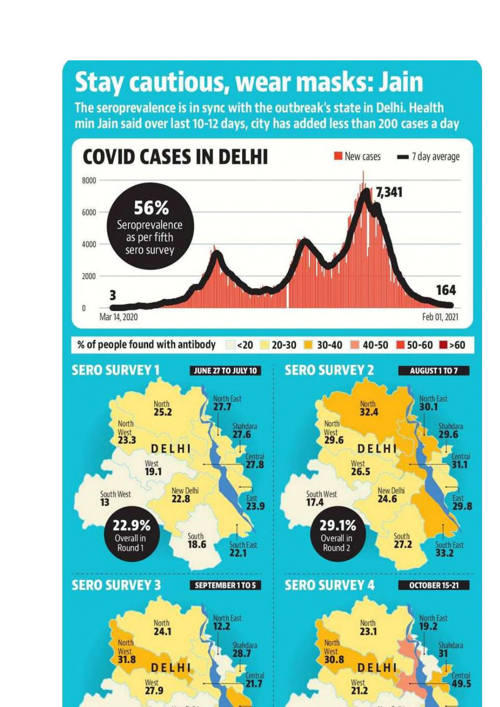## **Stay cautious, wear masks: Jain**

The seroprevalence is in sync with the outbreak's state in Delhi. Health min Jain said over last 10-12 days, city has added less than 200 cases a day

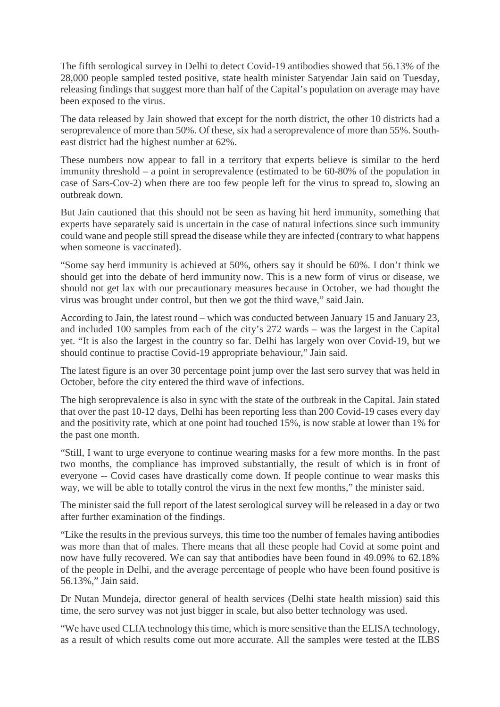The fifth serological survey in Delhi to detect Covid-19 antibodies showed that 56.13% of the 28,000 people sampled tested positive, state health minister Satyendar Jain said on Tuesday, releasing findings that suggest more than half of the Capital's population on average may have been exposed to the virus.

The data released by Jain showed that except for the north district, the other 10 districts had a seroprevalence of more than 50%. Of these, six had a seroprevalence of more than 55%. Southeast district had the highest number at 62%.

These numbers now appear to fall in a territory that experts believe is similar to the herd immunity threshold – a point in seroprevalence (estimated to be 60-80% of the population in case of Sars-Cov-2) when there are too few people left for the virus to spread to, slowing an outbreak down.

But Jain cautioned that this should not be seen as having hit herd immunity, something that experts have separately said is uncertain in the case of natural infections since such immunity could wane and people still spread the disease while they are infected (contrary to what happens when someone is vaccinated).

"Some say herd immunity is achieved at 50%, others say it should be 60%. I don't think we should get into the debate of herd immunity now. This is a new form of virus or disease, we should not get lax with our precautionary measures because in October, we had thought the virus was brought under control, but then we got the third wave," said Jain.

According to Jain, the latest round – which was conducted between January 15 and January 23, and included 100 samples from each of the city's 272 wards – was the largest in the Capital yet. "It is also the largest in the country so far. Delhi has largely won over Covid-19, but we should continue to practise Covid-19 appropriate behaviour," Jain said.

The latest figure is an over 30 percentage point jump over the last sero survey that was held in October, before the city entered the third wave of infections.

The high seroprevalence is also in sync with the state of the outbreak in the Capital. Jain stated that over the past 10-12 days, Delhi has been reporting less than 200 Covid-19 cases every day and the positivity rate, which at one point had touched 15%, is now stable at lower than 1% for the past one month.

"Still, I want to urge everyone to continue wearing masks for a few more months. In the past two months, the compliance has improved substantially, the result of which is in front of everyone -- Covid cases have drastically come down. If people continue to wear masks this way, we will be able to totally control the virus in the next few months," the minister said.

The minister said the full report of the latest serological survey will be released in a day or two after further examination of the findings.

"Like the results in the previous surveys, this time too the number of females having antibodies was more than that of males. There means that all these people had Covid at some point and now have fully recovered. We can say that antibodies have been found in 49.09% to 62.18% of the people in Delhi, and the average percentage of people who have been found positive is 56.13%," Jain said.

Dr Nutan Mundeja, director general of health services (Delhi state health mission) said this time, the sero survey was not just bigger in scale, but also better technology was used.

"We have used CLIA technology this time, which is more sensitive than the ELISA technology, as a result of which results come out more accurate. All the samples were tested at the ILBS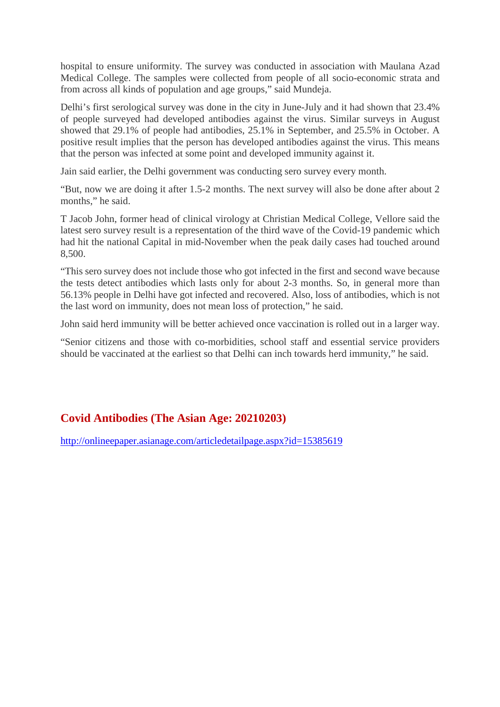hospital to ensure uniformity. The survey was conducted in association with Maulana Azad Medical College. The samples were collected from people of all socio-economic strata and from across all kinds of population and age groups," said Mundeja.

Delhi's first serological survey was done in the city in June-July and it had shown that 23.4% of people surveyed had developed antibodies against the virus. Similar surveys in August showed that 29.1% of people had antibodies, 25.1% in September, and 25.5% in October. A positive result implies that the person has developed antibodies against the virus. This means that the person was infected at some point and developed immunity against it.

Jain said earlier, the Delhi government was conducting sero survey every month.

"But, now we are doing it after 1.5-2 months. The next survey will also be done after about 2 months," he said.

T Jacob John, former head of clinical virology at Christian Medical College, Vellore said the latest sero survey result is a representation of the third wave of the Covid-19 pandemic which had hit the national Capital in mid-November when the peak daily cases had touched around 8,500.

"This sero survey does not include those who got infected in the first and second wave because the tests detect antibodies which lasts only for about 2-3 months. So, in general more than 56.13% people in Delhi have got infected and recovered. Also, loss of antibodies, which is not the last word on immunity, does not mean loss of protection," he said.

John said herd immunity will be better achieved once vaccination is rolled out in a larger way.

"Senior citizens and those with co-morbidities, school staff and essential service providers should be vaccinated at the earliest so that Delhi can inch towards herd immunity," he said.

#### **Covid Antibodies (The Asian Age: 20210203)**

http://onlineepaper.asianage.com/articledetailpage.aspx?id=15385619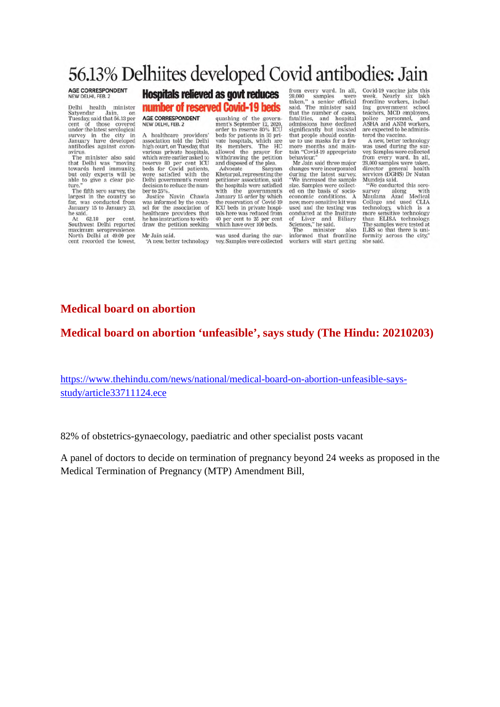### 56.13% Delhiites developed Covid antibodies: Jain

#### AGE CORRESPONDENT NEW DELHI, FEB. 2

Delhi health minister Denn nearm minister<br>Satyendar Jain, on<br>Tuesday, said that 56.13 per<br>cent of those covered<br>under the latest serological survey in the city in<br>January have developed<br>antibodies against coronavirus.

avirus,<br>The minister also said<br>that Delhi was "moving<br>towards herd immunity,<br>but only experts will be<br>able to give a clear pic-<br>ture."<br>The fifth computer.

The fifth sero survey, the<br>largest in the country so far, was conducted from<br>January 15 to January 23, he said.<br>At

At 62.18 per cent,<br>Southwest Delhi reported maximum seroprevalence.<br>North Delhi at 49.09 per<br>cent recorded the lowest,

#### **Hospitals relieved as govt reduces**

#### number of reserved Covid-19 beds

AGE CORRESPONDENT NEW DELHI, FEB. 2

A healthcare providers'<br>association told the Delhi<br>high court, on Tuesday, that man court, on tuesday, that<br>various private hospitals,<br>which were earlier asked to<br>beds for Covid patients,<br>were satisfied with the<br>Delhi government's recent decision to reduce the number to 25%.<br>Justice Navin Chawla

was informed by the counsel for the association of healthcare providers that he has instructions to withdraw the petition seeking

Mr Jain said. "A new, better technology quashing of the government's September 12, 2020,<br>order to reserve 80% ICU beds for patients in 33 private hospitals, which are its members. The HC allowed the prayer for<br>withdrawing the petition<br>and disposed of the plea.

Advocate Sanyam Khetarpal, representing the Nietarion: resociation, said<br>the hospitals were satisfied<br>with the government's<br>January 15 order by which<br>the reservation of Covid-19<br>ICU beds in private hospitals here was reduced from<br>40 per cent to 25 per cent<br>which have over 100 beds.

was used during the survey. Samples were collected

from every ward. In all. 28,000 samples were<br>taken," a senior official<br>said. The minister said said. The minister said<br>that the number of cases,<br>fatalities, and hospital<br>admissions have declined<br>significantly but insisted<br>that people should continue<br>to use masks for a few<br>more months and main-<br>habaviour." behaviour."<br>Mr Jain said three major

changes were incorporated<br>during the latest survey. We increased the sample size. Samples were collect-<br>ed on the basis of socio-<br>economic conditions. A new, more sensitive kit was<br>used and the testing was conducted at the Institute conducted at the institute<br>of Liver and Biliary<br>Sciences," he said.<br>The minister also<br>informed that frontline<br>workers will start getting

Covid-19 vaccine jabs this Covid-19 vaccine jack high<br>week. Nearly six lakh<br>frontline workers, includ-<br>ing government school ronume workers, include<br>teachers, MCD employees,<br>police personnel, and<br>ASHA and ANM workers,<br>are expected to be administered the vaccine.

tered the vaccine.<br>A new, better technology<br>was used during the sur-<br>vey Samples were collected<br>from every ward. In all,<br>28,000 samples were taken,<br>director general health<br>strvices (OGHS) Dr Nutan<br>Mundeia said Mundeja said.

"We conducted this sero-<br>survey along with survey along with<br>Maulana Azad Medical Natural Azar weather college and used CLIA<br>technology, which is a<br>more sensitive technology<br>than ELISA technology. The samples were tested at ILBS so that there is uniformity across the city,"<br>she said.

#### Medical board on abortion

#### Medical board on abortion 'unfeasible', says study (The Hindu: 20210203)

https://www.thehindu.com/news/national/medical-board-on-abortion-unfeasible-saysstudy/article33711124.ece

82% of obstetrics-gynaecology, paediatric and other specialist posts vacant

A panel of doctors to decide on termination of pregnancy beyond 24 weeks as proposed in the Medical Termination of Pregnancy (MTP) Amendment Bill,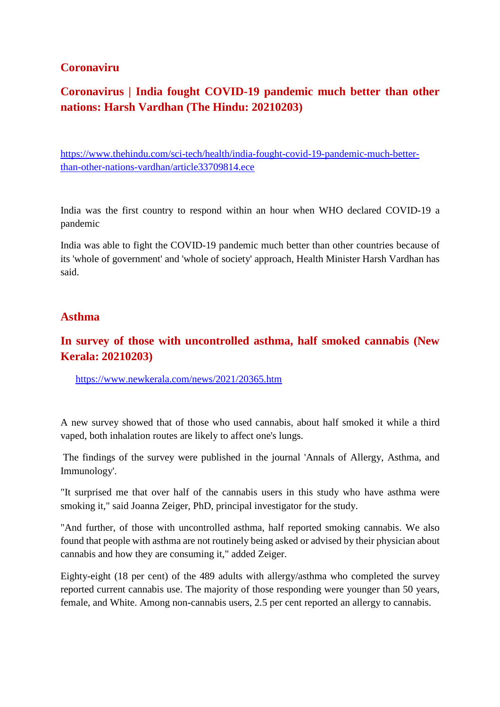#### **Coronaviru**

#### **Coronavirus | India fought COVID-19 pandemic much better than other nations: Harsh Vardhan (The Hindu: 20210203)**

https://www.thehindu.com/sci-tech/health/india-fought-covid-19-pandemic-much-betterthan-other-nations-vardhan/article33709814.ece

India was the first country to respond within an hour when WHO declared COVID-19 a pandemic

India was able to fight the COVID-19 pandemic much better than other countries because of its 'whole of government' and 'whole of society' approach, Health Minister Harsh Vardhan has said.

#### **Asthma**

#### **In survey of those with uncontrolled asthma, half smoked cannabis (New Kerala: 20210203)**

https://www.newkerala.com/news/2021/20365.htm

A new survey showed that of those who used cannabis, about half smoked it while a third vaped, both inhalation routes are likely to affect one's lungs.

The findings of the survey were published in the journal 'Annals of Allergy, Asthma, and Immunology'.

"It surprised me that over half of the cannabis users in this study who have asthma were smoking it," said Joanna Zeiger, PhD, principal investigator for the study.

"And further, of those with uncontrolled asthma, half reported smoking cannabis. We also found that people with asthma are not routinely being asked or advised by their physician about cannabis and how they are consuming it," added Zeiger.

Eighty-eight (18 per cent) of the 489 adults with allergy/asthma who completed the survey reported current cannabis use. The majority of those responding were younger than 50 years, female, and White. Among non-cannabis users, 2.5 per cent reported an allergy to cannabis.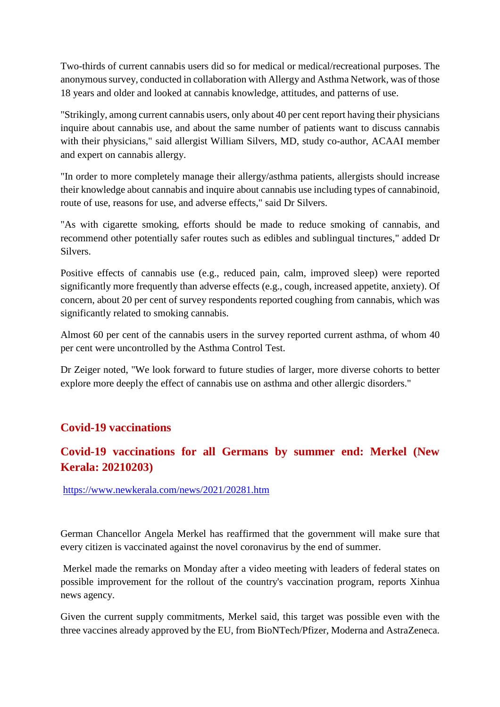Two-thirds of current cannabis users did so for medical or medical/recreational purposes. The anonymous survey, conducted in collaboration with Allergy and Asthma Network, was of those 18 years and older and looked at cannabis knowledge, attitudes, and patterns of use.

"Strikingly, among current cannabis users, only about 40 per cent report having their physicians inquire about cannabis use, and about the same number of patients want to discuss cannabis with their physicians," said allergist William Silvers, MD, study co-author, ACAAI member and expert on cannabis allergy.

"In order to more completely manage their allergy/asthma patients, allergists should increase their knowledge about cannabis and inquire about cannabis use including types of cannabinoid, route of use, reasons for use, and adverse effects," said Dr Silvers.

"As with cigarette smoking, efforts should be made to reduce smoking of cannabis, and recommend other potentially safer routes such as edibles and sublingual tinctures," added Dr Silvers.

Positive effects of cannabis use (e.g., reduced pain, calm, improved sleep) were reported significantly more frequently than adverse effects (e.g., cough, increased appetite, anxiety). Of concern, about 20 per cent of survey respondents reported coughing from cannabis, which was significantly related to smoking cannabis.

Almost 60 per cent of the cannabis users in the survey reported current asthma, of whom 40 per cent were uncontrolled by the Asthma Control Test.

Dr Zeiger noted, "We look forward to future studies of larger, more diverse cohorts to better explore more deeply the effect of cannabis use on asthma and other allergic disorders."

#### **Covid-19 vaccinations**

#### **Covid-19 vaccinations for all Germans by summer end: Merkel (New Kerala: 20210203)**

https://www.newkerala.com/news/2021/20281.htm

German Chancellor Angela Merkel has reaffirmed that the government will make sure that every citizen is vaccinated against the novel coronavirus by the end of summer.

Merkel made the remarks on Monday after a video meeting with leaders of federal states on possible improvement for the rollout of the country's vaccination program, reports Xinhua news agency.

Given the current supply commitments, Merkel said, this target was possible even with the three vaccines already approved by the EU, from BioNTech/Pfizer, Moderna and AstraZeneca.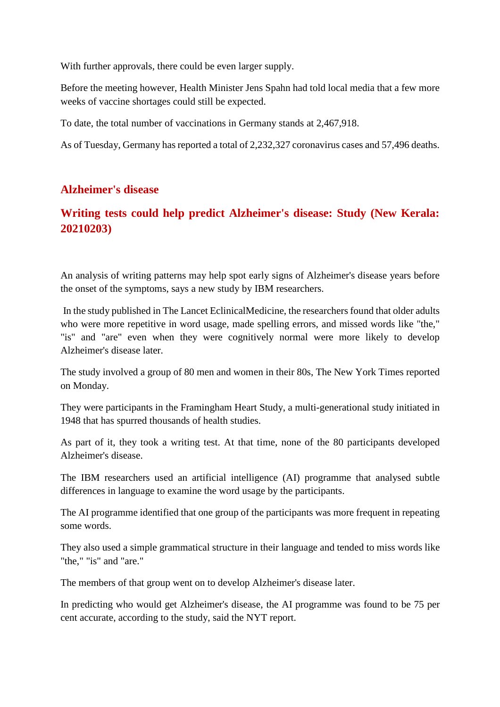With further approvals, there could be even larger supply.

Before the meeting however, Health Minister Jens Spahn had told local media that a few more weeks of vaccine shortages could still be expected.

To date, the total number of vaccinations in Germany stands at 2,467,918.

As of Tuesday, Germany has reported a total of 2,232,327 coronavirus cases and 57,496 deaths.

#### **Alzheimer's disease**

#### **Writing tests could help predict Alzheimer's disease: Study (New Kerala: 20210203)**

An analysis of writing patterns may help spot early signs of Alzheimer's disease years before the onset of the symptoms, says a new study by IBM researchers.

In the study published in The Lancet EclinicalMedicine, the researchers found that older adults who were more repetitive in word usage, made spelling errors, and missed words like "the," "is" and "are" even when they were cognitively normal were more likely to develop Alzheimer's disease later.

The study involved a group of 80 men and women in their 80s, The New York Times reported on Monday.

They were participants in the Framingham Heart Study, a multi-generational study initiated in 1948 that has spurred thousands of health studies.

As part of it, they took a writing test. At that time, none of the 80 participants developed Alzheimer's disease.

The IBM researchers used an artificial intelligence (AI) programme that analysed subtle differences in language to examine the word usage by the participants.

The AI programme identified that one group of the participants was more frequent in repeating some words.

They also used a simple grammatical structure in their language and tended to miss words like "the," "is" and "are."

The members of that group went on to develop Alzheimer's disease later.

In predicting who would get Alzheimer's disease, the AI programme was found to be 75 per cent accurate, according to the study, said the NYT report.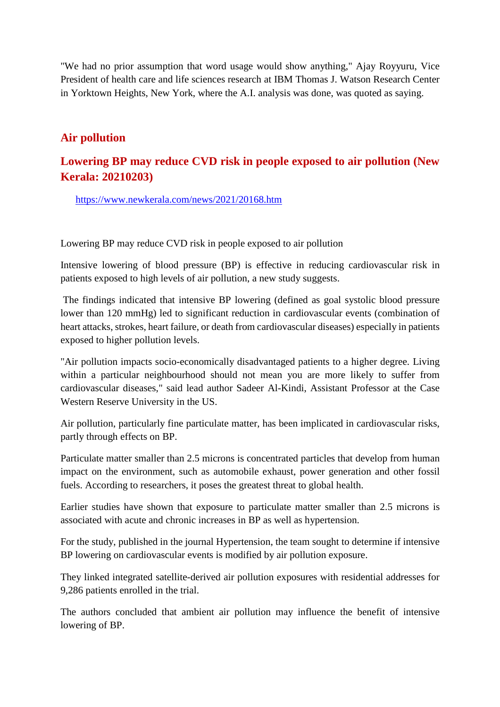"We had no prior assumption that word usage would show anything," Ajay Royyuru, Vice President of health care and life sciences research at IBM Thomas J. Watson Research Center in Yorktown Heights, New York, where the A.I. analysis was done, was quoted as saying.

#### **Air pollution**

#### **Lowering BP may reduce CVD risk in people exposed to air pollution (New Kerala: 20210203)**

https://www.newkerala.com/news/2021/20168.htm

Lowering BP may reduce CVD risk in people exposed to air pollution

Intensive lowering of blood pressure (BP) is effective in reducing cardiovascular risk in patients exposed to high levels of air pollution, a new study suggests.

The findings indicated that intensive BP lowering (defined as goal systolic blood pressure lower than 120 mmHg) led to significant reduction in cardiovascular events (combination of heart attacks, strokes, heart failure, or death from cardiovascular diseases) especially in patients exposed to higher pollution levels.

"Air pollution impacts socio-economically disadvantaged patients to a higher degree. Living within a particular neighbourhood should not mean you are more likely to suffer from cardiovascular diseases," said lead author Sadeer Al-Kindi, Assistant Professor at the Case Western Reserve University in the US.

Air pollution, particularly fine particulate matter, has been implicated in cardiovascular risks, partly through effects on BP.

Particulate matter smaller than 2.5 microns is concentrated particles that develop from human impact on the environment, such as automobile exhaust, power generation and other fossil fuels. According to researchers, it poses the greatest threat to global health.

Earlier studies have shown that exposure to particulate matter smaller than 2.5 microns is associated with acute and chronic increases in BP as well as hypertension.

For the study, published in the journal Hypertension, the team sought to determine if intensive BP lowering on cardiovascular events is modified by air pollution exposure.

They linked integrated satellite-derived air pollution exposures with residential addresses for 9,286 patients enrolled in the trial.

The authors concluded that ambient air pollution may influence the benefit of intensive lowering of BP.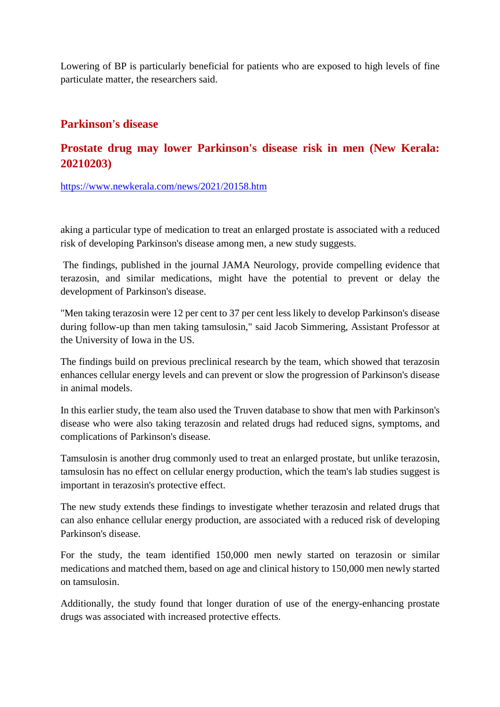Lowering of BP is particularly beneficial for patients who are exposed to high levels of fine particulate matter, the researchers said.

#### **Parkinson's disease**

#### **Prostate drug may lower Parkinson's disease risk in men (New Kerala: 20210203)**

https://www.newkerala.com/news/2021/20158.htm

aking a particular type of medication to treat an enlarged prostate is associated with a reduced risk of developing Parkinson's disease among men, a new study suggests.

The findings, published in the journal JAMA Neurology, provide compelling evidence that terazosin, and similar medications, might have the potential to prevent or delay the development of Parkinson's disease.

"Men taking terazosin were 12 per cent to 37 per cent less likely to develop Parkinson's disease during follow-up than men taking tamsulosin," said Jacob Simmering, Assistant Professor at the University of Iowa in the US.

The findings build on previous preclinical research by the team, which showed that terazosin enhances cellular energy levels and can prevent or slow the progression of Parkinson's disease in animal models.

In this earlier study, the team also used the Truven database to show that men with Parkinson's disease who were also taking terazosin and related drugs had reduced signs, symptoms, and complications of Parkinson's disease.

Tamsulosin is another drug commonly used to treat an enlarged prostate, but unlike terazosin, tamsulosin has no effect on cellular energy production, which the team's lab studies suggest is important in terazosin's protective effect.

The new study extends these findings to investigate whether terazosin and related drugs that can also enhance cellular energy production, are associated with a reduced risk of developing Parkinson's disease.

For the study, the team identified 150,000 men newly started on terazosin or similar medications and matched them, based on age and clinical history to 150,000 men newly started on tamsulosin.

Additionally, the study found that longer duration of use of the energy-enhancing prostate drugs was associated with increased protective effects.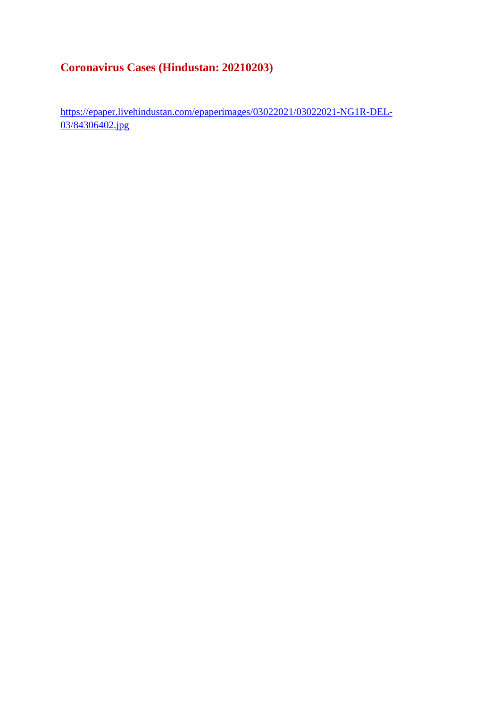#### **Coronavirus Cases (Hindustan: 20210203)**

https://epaper.livehindustan.com/epaperimages/03022021/03022021-NG1R-DEL-03/84306402.jpg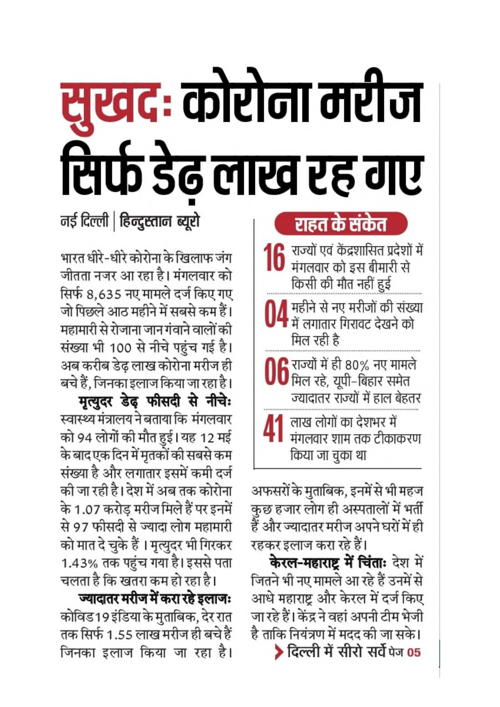# सुखदः कोरोना मरीज सिर्फ डेढ़ लाख रह गए नई दिल्ली | हिन्दुस्तान ब्यूरो

भारत धीरे-धीरे कोरोना के खिलाफ जंग जीतता नजर आ रहा है। मंगलवार को सिर्फ 8,635 नए मामले दर्ज किए गए जो पिछले आठ महीने में सबसे कम हैं। महामारी से रोजाना जान गंवाने वालों की संख्या भी 100 से नीचे पहुंच गई है। अब करीब डेढ लाख कोरोना मरीज ही बचे हैं, जिनका इलाज किया जा रहा है।

मृत्युदर डेढ़ फीसदी से नीचे: स्वास्थ्य मंत्रालय ने बताया कि मंगलवार को 94 लोगों की मौत हुई। यह 12 मई के बाद एक दिन में मृतकों की सबसे कम संख्या है और लगातार इसमें कमी दर्ज की जा रही है। देश में अब तक कोरोना के 1.07 करोड मरीज मिले हैं पर इनमें से 97 फीसदी से ज्यादा लोग महामारी को मात दे चुके हैं। मृत्युदर भी गिरकर 1.43% तक पहुंच गया है। इससे पता चलता है कि खतरा कम हो रहा है।

ज्यादातर मरीज में करा रहे इलाजः कोविड 19 इंडिया के मुताबिक, देर रात तक सिर्फ 1.55 लाख मरीज ही बचे हैं जिनका इलाज किया जा रहा है।

## राहत के संकेत

16 राज्यों एवं केंद्रशासित प्रदेशों में मंगलवार को इस बीमारी से किसी की मौत नहीं हुई

4 महीने से नए मरीजों की संख्या<br>4 में लगातार गिरावट देखने को मिल रही है

- **ि** राज्यों में ही 80% नए मामले  $\bm{U} \bm{0}$  मिल रहे, यूपी–बिहार समेत ज्यादातर राज्यों में हाल बेहतर
- 41 लाख लोगों का देशभर में मंगलवार शाम तक टीकाकरण किया जा चुका था

अफसरों के मुताबिक, इनमें से भी महज कुछ हजार लोग ही अस्पतालों में भर्ती हैं और ज्यादातर मरीज अपने घरों में ही रहकर इलाज करा रहे हैं।

**केरल-महाराष्ट्र में चिंताः** देश में जितने भी नए मामले आ रहे हैं उनमें से आधे महाराष्ट्र और केरल में दर्ज किए जा रहे हैं। केंद्र ने वहां अपनी टीम भेजी है ताकि नियंत्रण में मदद की जा सके। > दिल्ली में सीरो सर्वे पेज 05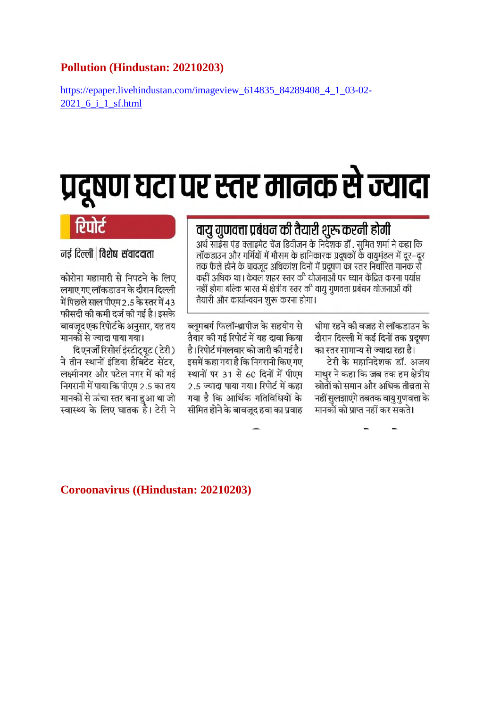#### Pollution (Hindustan: 20210203)

https://epaper.livehindustan.com/imageview\_614835\_84289408\_4\_1\_03-02-2021 6 i 1 sf.html

## प्रदूषण घटा पर स्तर मानक से ज्यादा

#### नई दिल्ली | विशेष संवाददाता

कोरोना महामारी से निपटने के लिए लगाए गए लॉकडाउन के दौरान दिल्ली में पिछले साल पीएम 2.5 के स्तर में 43 फीसदी की कमी दर्ज की गई है। इसके बावजूद एक रिपोर्ट के अनुसार, यह तय मानकों से ज्यादा पाया गया।

दिएनर्जी रिसोर्स इंस्टीट्यूट (टेरी) ने तीन स्थानों इंडिया हैबिटेट सेंटर, लक्ष्मीनगर और पटेल नगर में की गई निगरानी में पाया कि पीएम 2.5 का तय मानकों से ऊंचा स्तर बना हुआ था जो स्वास्थ्य के लिए घातक है। टेरी ने

#### वायु गुणवत्ता प्रबंधन की तैयारी शुरू करनी होगी

अर्थ साइंस एंड क्लाइमेट चेंज डिवीजन के निर्देशक डॉ . सुमित शर्मा ने कहा कि लॉकडाउन और गर्मियों में मौसम के हानिकारक प्रदूषकों के वायुमंडल में दूर–दूर तक फैले होने के बावजूद अधिकांश दिनों में प्रदूषण का स्तर निर्धारित मानक से कहीं अधिक था। केवल शहर स्तर की योजनाओं पर ध्यान केंद्रित करना पर्याप्त नहीं होगा बल्कि भारत में क्षेत्रीय स्तर की वायू गुणवत्ता प्रबंधन योजनाओं की तैयारी और कार्यान्वयन शुरू करना होगा।

ब्लूमबर्ग फिलॉन्थ्रापीज के सहयोग से तैयार की गई रिपोर्ट में यह दावा किया है। रिपोर्ट मंगलवार को जारी की गई है। इसमें कहा गया है कि निगरानी किए गए स्थानों पर 31 से 60 दिनों में पीएम 2.5 ज्यादा पाया गया। रिपोर्ट में कहा गया है कि आर्थिक गतिविधियों के सीमित होने के बावजूद हवा का प्रवाह धीमा रहने की वजह से लॉकडाउन के दौरान दिल्ली में कई दिनों तक प्रदुषण का स्तर सामान्य से ज्यादा रहा है।

टेरी के महानिदेशक डॉ. अजय माथुर ने कहा कि जब तक हम क्षेत्रीय स्रोतों को समान और अधिक तीव्रता से नहीं सुलझाएंगे तबतक वायु गुणवत्ता के मानकों को प्राप्त नहीं कर सकते।

#### Coroonavirus ((Hindustan: 20210203)